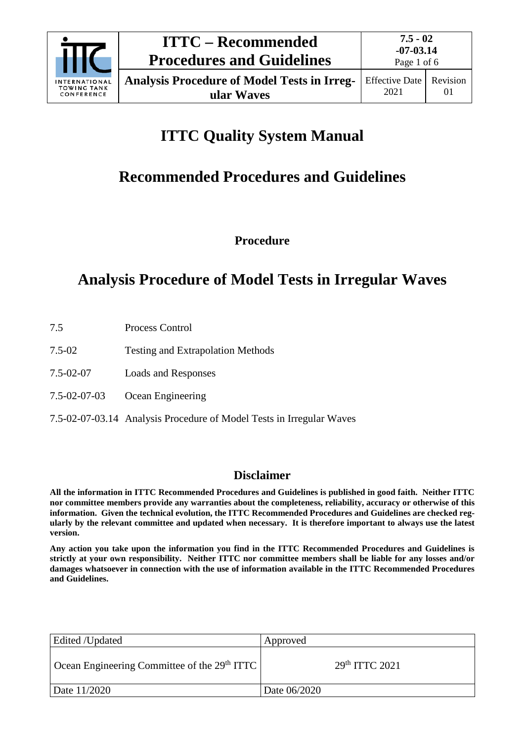

# **ITTC Quality System Manual**

# **Recommended Procedures and Guidelines**

**Procedure**

# **Analysis Procedure of Model Tests in Irregular Waves**

- 7.5 Process Control
- 7.5-02 Testing and Extrapolation Methods
- 7.5-02-07 Loads and Responses
- 7.5-02-07-03 Ocean Engineering
- 7.5-02-07-03.14 Analysis Procedure of Model Tests in Irregular Waves

## **Disclaimer**

**All the information in ITTC Recommended Procedures and Guidelines is published in good faith. Neither ITTC nor committee members provide any warranties about the completeness, reliability, accuracy or otherwise of this information. Given the technical evolution, the ITTC Recommended Procedures and Guidelines are checked regularly by the relevant committee and updated when necessary. It is therefore important to always use the latest version.**

**Any action you take upon the information you find in the ITTC Recommended Procedures and Guidelines is strictly at your own responsibility. Neither ITTC nor committee members shall be liable for any losses and/or damages whatsoever in connection with the use of information available in the ITTC Recommended Procedures and Guidelines.**

| Edited /Updated                                                          | Approved                   |
|--------------------------------------------------------------------------|----------------------------|
| $\vert$ Ocean Engineering Committee of the 29 <sup>th</sup> ITTC $\vert$ | 29 <sup>th</sup> TTTC 2021 |
| Date 11/2020                                                             | Date 06/2020               |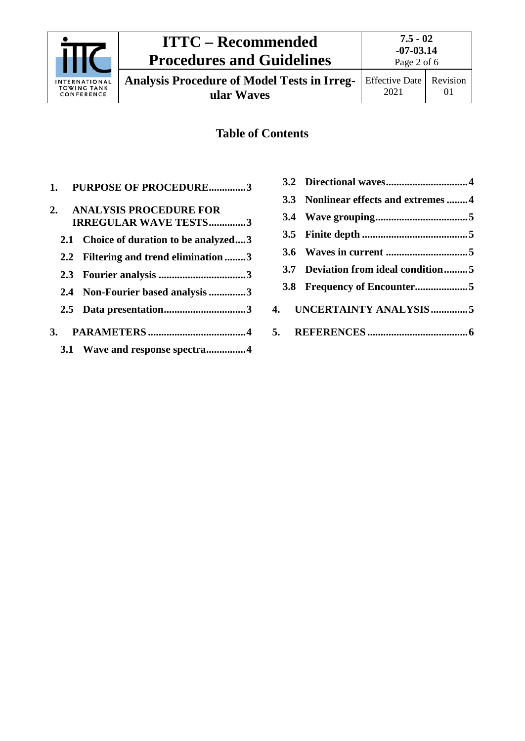

**Analysis Procedure of Model Tests in Irreg-**

**ular Waves**

## **Table of Contents**

| 1. PURPOSE OF PROCEDURE3                                  |
|-----------------------------------------------------------|
| 2. ANALYSIS PROCEDURE FOR<br><b>IRREGULAR WAVE TESTS3</b> |
| 2.1 Choice of duration to be analyzed3                    |
| 2.2 Filtering and trend elimination 3                     |
|                                                           |
| 2.4 Non-Fourier based analysis 3                          |
|                                                           |
|                                                           |
| 3.1 Wave and response spectra4                            |

| 3.3 Nonlinear effects and extremes 4 |
|--------------------------------------|
|                                      |
|                                      |
|                                      |
| 3.7 Deviation from ideal condition5  |
|                                      |
| 4. UNCERTAINTY ANALYSIS5             |
|                                      |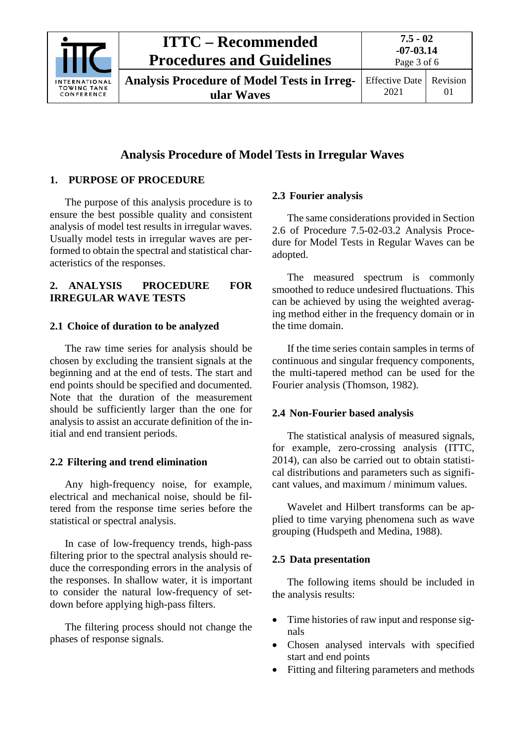

# **ITTC – Recommended Procedures and Guidelines**

**Analysis Procedure of Model Tests in Irregular Waves**

# **Analysis Procedure of Model Tests in Irregular Waves**

## <span id="page-2-0"></span>**1. PURPOSE OF PROCEDURE**

The purpose of this analysis procedure is to ensure the best possible quality and consistent analysis of model test results in irregular waves. Usually model tests in irregular waves are performed to obtain the spectral and statistical characteristics of the responses.

## <span id="page-2-1"></span>**2. ANALYSIS PROCEDURE FOR IRREGULAR WAVE TESTS**

## <span id="page-2-2"></span>**2.1 Choice of duration to be analyzed**

The raw time series for analysis should be chosen by excluding the transient signals at the beginning and at the end of tests. The start and end points should be specified and documented. Note that the duration of the measurement should be sufficiently larger than the one for analysis to assist an accurate definition of the initial and end transient periods.

## <span id="page-2-3"></span>**2.2 Filtering and trend elimination**

Any high-frequency noise, for example, electrical and mechanical noise, should be filtered from the response time series before the statistical or spectral analysis.

In case of low-frequency trends, high-pass filtering prior to the spectral analysis should reduce the corresponding errors in the analysis of the responses. In shallow water, it is important to consider the natural low-frequency of setdown before applying high-pass filters.

The filtering process should not change the phases of response signals.

## <span id="page-2-4"></span>**2.3 Fourier analysis**

The same considerations provided in Section 2.6 of Procedure 7.5-02-03.2 Analysis Procedure for Model Tests in Regular Waves can be adopted.

The measured spectrum is commonly smoothed to reduce undesired fluctuations. This can be achieved by using the weighted averaging method either in the frequency domain or in the time domain.

If the time series contain samples in terms of continuous and singular frequency components, the multi-tapered method can be used for the Fourier analysis (Thomson, 1982).

## <span id="page-2-5"></span>**2.4 Non-Fourier based analysis**

The statistical analysis of measured signals, for example, zero-crossing analysis (ITTC, 2014), can also be carried out to obtain statistical distributions and parameters such as significant values, and maximum / minimum values.

Wavelet and Hilbert transforms can be applied to time varying phenomena such as wave grouping (Hudspeth and Medina, 1988).

## <span id="page-2-6"></span>**2.5 Data presentation**

The following items should be included in the analysis results:

- Time histories of raw input and response signals
- Chosen analysed intervals with specified start and end points
- Fitting and filtering parameters and methods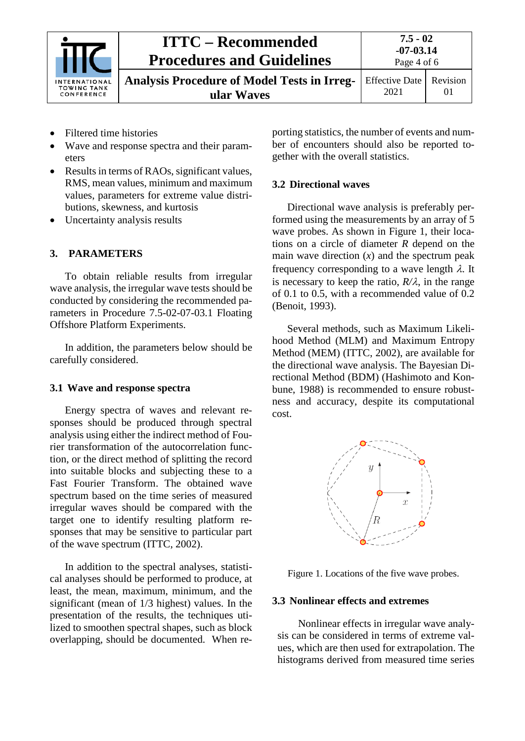

**Analysis Procedure of Model Tests in Irregular Waves**

Effective Date 2021 Revision 01

- Filtered time histories
- Wave and response spectra and their parameters
- Results in terms of RAOs, significant values, RMS, mean values, minimum and maximum values, parameters for extreme value distributions, skewness, and kurtosis
- Uncertainty analysis results

### <span id="page-3-0"></span>**3. PARAMETERS**

To obtain reliable results from irregular wave analysis, the irregular wave tests should be conducted by considering the recommended parameters in Procedure 7.5-02-07-03.1 Floating Offshore Platform Experiments.

In addition, the parameters below should be carefully considered.

### <span id="page-3-1"></span>**3.1 Wave and response spectra**

Energy spectra of waves and relevant responses should be produced through spectral analysis using either the indirect method of Fourier transformation of the autocorrelation function, or the direct method of splitting the record into suitable blocks and subjecting these to a Fast Fourier Transform. The obtained wave spectrum based on the time series of measured irregular waves should be compared with the target one to identify resulting platform responses that may be sensitive to particular part of the wave spectrum (ITTC, 2002).

In addition to the spectral analyses, statistical analyses should be performed to produce, at least, the mean, maximum, minimum, and the significant (mean of 1/3 highest) values. In the presentation of the results, the techniques utilized to smoothen spectral shapes, such as block overlapping, should be documented. When reporting statistics, the number of events and number of encounters should also be reported together with the overall statistics.

#### <span id="page-3-2"></span>**3.2 Directional waves**

Directional wave analysis is preferably performed using the measurements by an array of 5 wave probes. As shown in Figure 1, their locations on a circle of diameter *R* depend on the main wave direction  $(x)$  and the spectrum peak frequency corresponding to a wave length  $\lambda$ . It is necessary to keep the ratio,  $R/\lambda$ , in the range of 0.1 to 0.5, with a recommended value of 0.2 (Benoit, 1993).

Several methods, such as Maximum Likelihood Method (MLM) and Maximum Entropy Method (MEM) (ITTC, 2002), are available for the directional wave analysis. The Bayesian Directional Method (BDM) (Hashimoto and Konbune, 1988) is recommended to ensure robustness and accuracy, despite its computational cost.



Figure 1. Locations of the five wave probes.

#### <span id="page-3-3"></span>**3.3 Nonlinear effects and extremes**

Nonlinear effects in irregular wave analysis can be considered in terms of extreme values, which are then used for extrapolation. The histograms derived from measured time series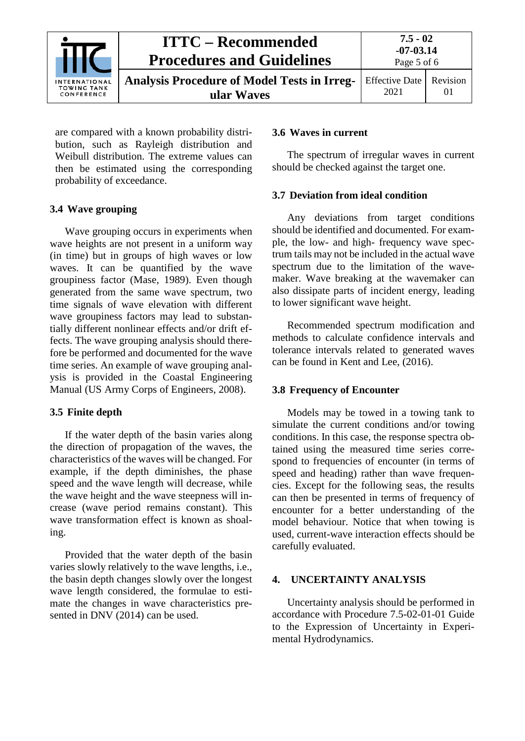

are compared with a known probability distribution, such as Rayleigh distribution and Weibull distribution. The extreme values can then be estimated using the corresponding probability of exceedance.

#### <span id="page-4-0"></span>**3.4 Wave grouping**

Wave grouping occurs in experiments when wave heights are not present in a uniform way (in time) but in groups of high waves or low waves. It can be quantified by the wave groupiness factor (Mase, 1989). Even though generated from the same wave spectrum, two time signals of wave elevation with different wave groupiness factors may lead to substantially different nonlinear effects and/or drift effects. The wave grouping analysis should therefore be performed and documented for the wave time series. An example of wave grouping analysis is provided in the Coastal Engineering Manual (US Army Corps of Engineers, 2008).

#### <span id="page-4-1"></span>**3.5 Finite depth**

If the water depth of the basin varies along the direction of propagation of the waves, the characteristics of the waves will be changed. For example, if the depth diminishes, the phase speed and the wave length will decrease, while the wave height and the wave steepness will increase (wave period remains constant). This wave transformation effect is known as shoaling.

Provided that the water depth of the basin varies slowly relatively to the wave lengths, i.e., the basin depth changes slowly over the longest wave length considered, the formulae to estimate the changes in wave characteristics presented in DNV (2014) can be used.

#### <span id="page-4-2"></span>**3.6 Waves in current**

The spectrum of irregular waves in current should be checked against the target one.

#### <span id="page-4-3"></span>**3.7 Deviation from ideal condition**

Any deviations from target conditions should be identified and documented. For example, the low- and high- frequency wave spectrum tails may not be included in the actual wave spectrum due to the limitation of the wavemaker. Wave breaking at the wavemaker can also dissipate parts of incident energy, leading to lower significant wave height.

Recommended spectrum modification and methods to calculate confidence intervals and tolerance intervals related to generated waves can be found in Kent and Lee, (2016).

#### <span id="page-4-4"></span>**3.8 Frequency of Encounter**

Models may be towed in a towing tank to simulate the current conditions and/or towing conditions. In this case, the response spectra obtained using the measured time series correspond to frequencies of encounter (in terms of speed and heading) rather than wave frequencies. Except for the following seas, the results can then be presented in terms of frequency of encounter for a better understanding of the model behaviour. Notice that when towing is used, current-wave interaction effects should be carefully evaluated.

#### <span id="page-4-5"></span>**4. UNCERTAINTY ANALYSIS**

Uncertainty analysis should be performed in accordance with Procedure 7.5-02-01-01 Guide to the Expression of Uncertainty in Experimental Hydrodynamics.